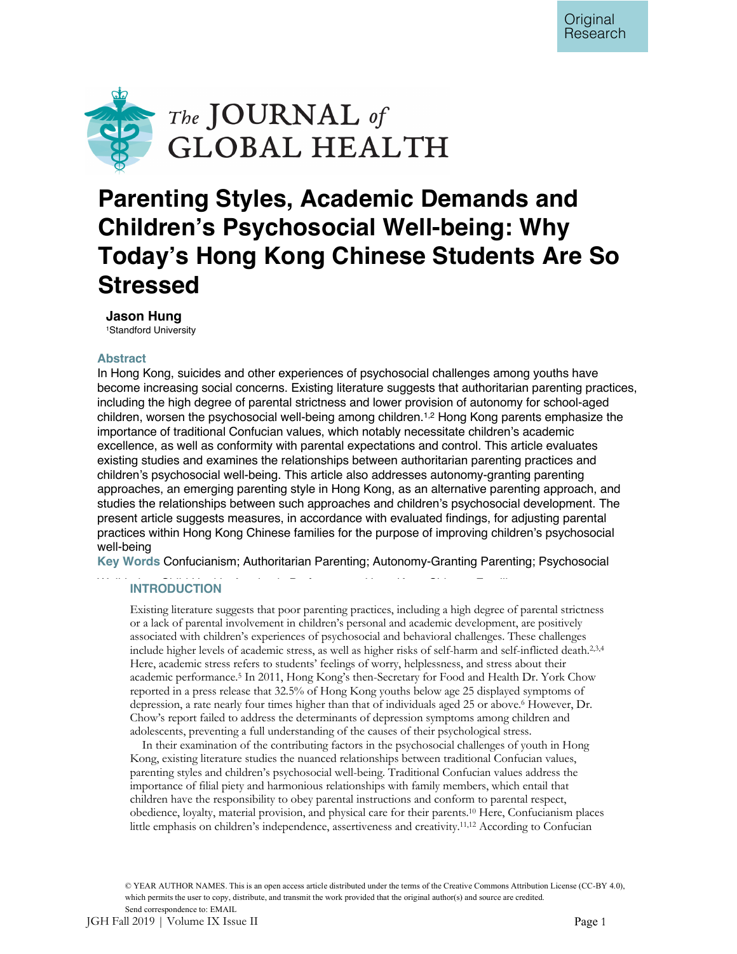

# **Parenting Styles, Academic Demands and Children's Psychosocial Well-being: Why Today's Hong Kong Chinese Students Are So Stressed**

# **Jason Hung**

1Standford University

# **Abstract**

In Hong Kong, suicides and other experiences of psychosocial challenges among youths have become increasing social concerns. Existing literature suggests that authoritarian parenting practices, including the high degree of parental strictness and lower provision of autonomy for school-aged children, worsen the psychosocial well-being among children.<sup>1,2</sup> Hong Kong parents emphasize the importance of traditional Confucian values, which notably necessitate children's academic excellence, as well as conformity with parental expectations and control. This article evaluates existing studies and examines the relationships between authoritarian parenting practices and children's psychosocial well-being. This article also addresses autonomy-granting parenting approaches, an emerging parenting style in Hong Kong, as an alternative parenting approach, and studies the relationships between such approaches and children's psychosocial development. The present article suggests measures, in accordance with evaluated findings, for adjusting parental practices within Hong Kong Chinese families for the purpose of improving children's psychosocial well-being

**Key Words** Confucianism; Authoritarian Parenting; Autonomy-Granting Parenting; Psychosocial

# **INTRODUCTION**

Existing literature suggests that poor parenting practices, including a high degree of parental strictness or a lack of parental involvement in children's personal and academic development, are positively associated with children's experiences of psychosocial and behavioral challenges. These challenges include higher levels of academic stress, as well as higher risks of self-harm and self-inflicted death.<sup>2,3,4</sup> Here, academic stress refers to students' feelings of worry, helplessness, and stress about their academic performance.5 In 2011, Hong Kong's then-Secretary for Food and Health Dr. York Chow reported in a press release that 32.5% of Hong Kong youths below age 25 displayed symptoms of depression, a rate nearly four times higher than that of individuals aged 25 or above.6 However, Dr. Chow's report failed to address the determinants of depression symptoms among children and adolescents, preventing a full understanding of the causes of their psychological stress.

In their examination of the contributing factors in the psychosocial challenges of youth in Hong Kong, existing literature studies the nuanced relationships between traditional Confucian values, parenting styles and children's psychosocial well-being. Traditional Confucian values address the importance of filial piety and harmonious relationships with family members, which entail that children have the responsibility to obey parental instructions and conform to parental respect, obedience, loyalty, material provision, and physical care for their parents.10 Here, Confucianism places little emphasis on children's independence, assertiveness and creativity.11,12 According to Confucian

© YEAR AUTHOR NAMES. This is an open access article distributed under the terms of the Creative Commons Attribution License (CC-BY 4.0), which permits the user to copy, distribute, and transmit the work provided that the original author(s) and source are credited. Send correspondence to: EMAIL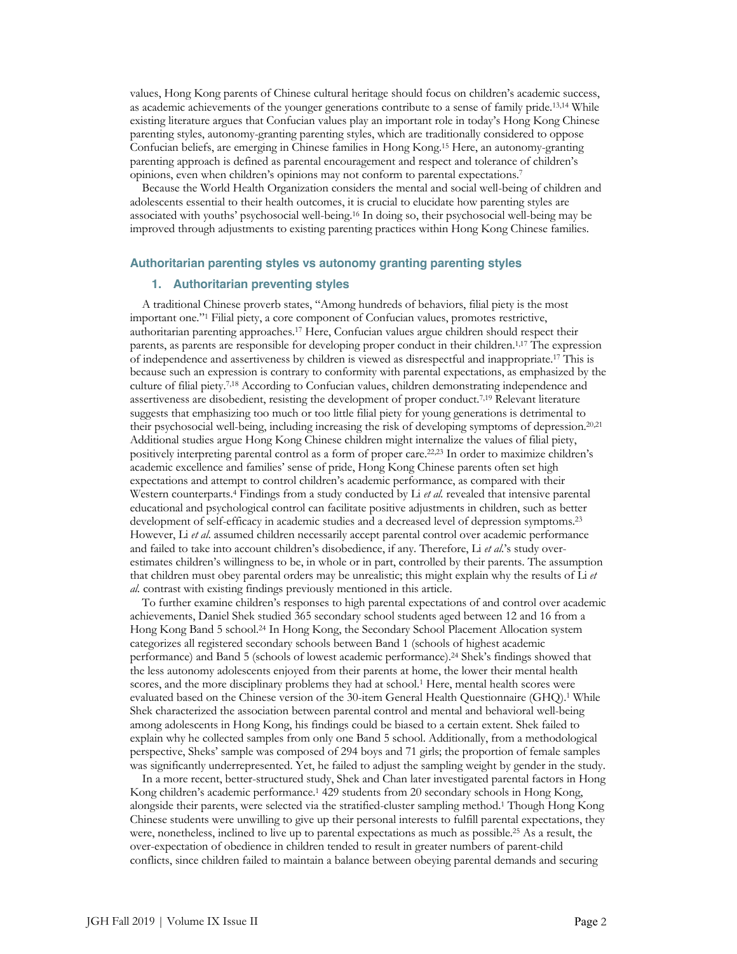values, Hong Kong parents of Chinese cultural heritage should focus on children's academic success, as academic achievements of the younger generations contribute to a sense of family pride.13,14 While existing literature argues that Confucian values play an important role in today's Hong Kong Chinese parenting styles, autonomy-granting parenting styles, which are traditionally considered to oppose Confucian beliefs, are emerging in Chinese families in Hong Kong.15 Here, an autonomy-granting parenting approach is defined as parental encouragement and respect and tolerance of children's opinions, even when children's opinions may not conform to parental expectations.7

Because the World Health Organization considers the mental and social well-being of children and adolescents essential to their health outcomes, it is crucial to elucidate how parenting styles are associated with youths' psychosocial well-being.16 In doing so, their psychosocial well-being may be improved through adjustments to existing parenting practices within Hong Kong Chinese families.

# **Authoritarian parenting styles vs autonomy granting parenting styles**

## **1. Authoritarian preventing styles**

A traditional Chinese proverb states, "Among hundreds of behaviors, filial piety is the most important one."1 Filial piety, a core component of Confucian values, promotes restrictive, authoritarian parenting approaches.17 Here, Confucian values argue children should respect their parents, as parents are responsible for developing proper conduct in their children.1,17 The expression of independence and assertiveness by children is viewed as disrespectful and inappropriate.17 This is because such an expression is contrary to conformity with parental expectations, as emphasized by the culture of filial piety.7,18 According to Confucian values, children demonstrating independence and assertiveness are disobedient, resisting the development of proper conduct.7,19 Relevant literature suggests that emphasizing too much or too little filial piety for young generations is detrimental to their psychosocial well-being, including increasing the risk of developing symptoms of depression.20,21 Additional studies argue Hong Kong Chinese children might internalize the values of filial piety, positively interpreting parental control as a form of proper care.22,23 In order to maximize children's academic excellence and families' sense of pride, Hong Kong Chinese parents often set high expectations and attempt to control children's academic performance, as compared with their Western counterparts.4 Findings from a study conducted by Li *et al.* revealed that intensive parental educational and psychological control can facilitate positive adjustments in children, such as better development of self-efficacy in academic studies and a decreased level of depression symptoms.23 However, Li *et al*. assumed children necessarily accept parental control over academic performance and failed to take into account children's disobedience, if any. Therefore, Li *et al*.'s study overestimates children's willingness to be, in whole or in part, controlled by their parents. The assumption that children must obey parental orders may be unrealistic; this might explain why the results of Li *et al.* contrast with existing findings previously mentioned in this article.

To further examine children's responses to high parental expectations of and control over academic achievements, Daniel Shek studied 365 secondary school students aged between 12 and 16 from a Hong Kong Band 5 school.24 In Hong Kong, the Secondary School Placement Allocation system categorizes all registered secondary schools between Band 1 (schools of highest academic performance) and Band 5 (schools of lowest academic performance).24 Shek's findings showed that the less autonomy adolescents enjoyed from their parents at home, the lower their mental health scores, and the more disciplinary problems they had at school.<sup>1</sup> Here, mental health scores were evaluated based on the Chinese version of the 30-item General Health Questionnaire (GHQ).<sup>1</sup> While Shek characterized the association between parental control and mental and behavioral well-being among adolescents in Hong Kong, his findings could be biased to a certain extent. Shek failed to explain why he collected samples from only one Band 5 school. Additionally, from a methodological perspective, Sheks' sample was composed of 294 boys and 71 girls; the proportion of female samples was significantly underrepresented. Yet, he failed to adjust the sampling weight by gender in the study.

In a more recent, better-structured study, Shek and Chan later investigated parental factors in Hong Kong children's academic performance.1 429 students from 20 secondary schools in Hong Kong, alongside their parents, were selected via the stratified-cluster sampling method.1 Though Hong Kong Chinese students were unwilling to give up their personal interests to fulfill parental expectations, they were, nonetheless, inclined to live up to parental expectations as much as possible.<sup>25</sup> As a result, the over-expectation of obedience in children tended to result in greater numbers of parent-child conflicts, since children failed to maintain a balance between obeying parental demands and securing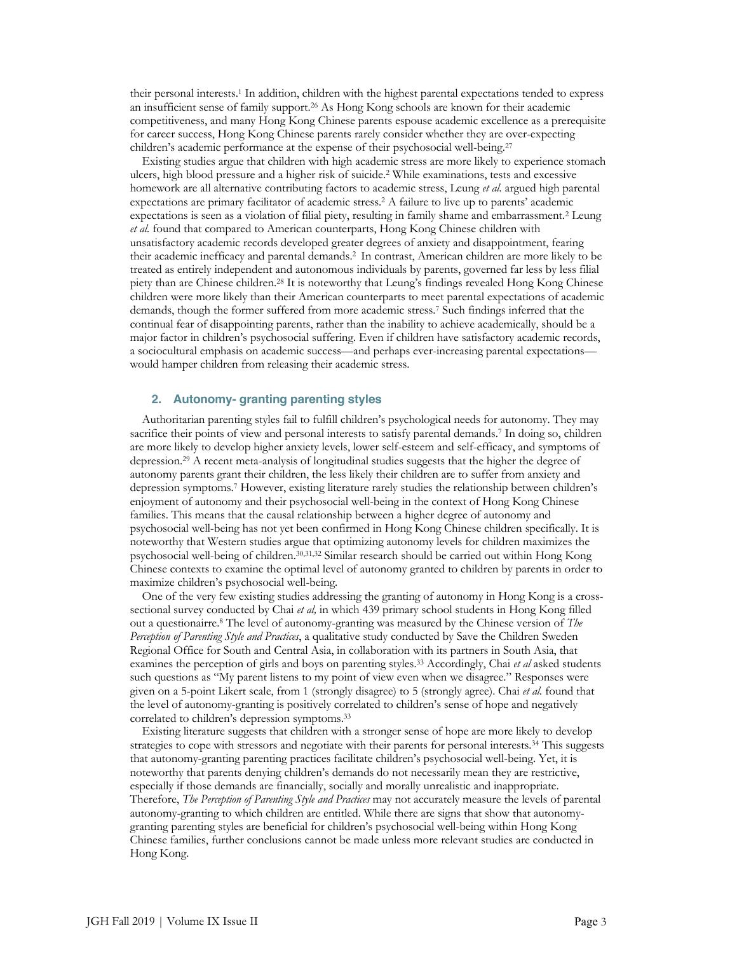their personal interests.1 In addition, children with the highest parental expectations tended to express an insufficient sense of family support.26 As Hong Kong schools are known for their academic competitiveness, and many Hong Kong Chinese parents espouse academic excellence as a prerequisite for career success, Hong Kong Chinese parents rarely consider whether they are over-expecting children's academic performance at the expense of their psychosocial well-being.<sup>27</sup>

Existing studies argue that children with high academic stress are more likely to experience stomach ulcers, high blood pressure and a higher risk of suicide.2 While examinations, tests and excessive homework are all alternative contributing factors to academic stress, Leung *et al.* argued high parental expectations are primary facilitator of academic stress.2 A failure to live up to parents' academic expectations is seen as a violation of filial piety, resulting in family shame and embarrassment.2 Leung *et al.* found that compared to American counterparts, Hong Kong Chinese children with unsatisfactory academic records developed greater degrees of anxiety and disappointment, fearing their academic inefficacy and parental demands.2 In contrast, American children are more likely to be treated as entirely independent and autonomous individuals by parents, governed far less by less filial piety than are Chinese children.28 It is noteworthy that Leung's findings revealed Hong Kong Chinese children were more likely than their American counterparts to meet parental expectations of academic demands, though the former suffered from more academic stress.7 Such findings inferred that the continual fear of disappointing parents, rather than the inability to achieve academically, should be a major factor in children's psychosocial suffering. Even if children have satisfactory academic records, a sociocultural emphasis on academic success—and perhaps ever-increasing parental expectations would hamper children from releasing their academic stress.

#### **2. Autonomy- granting parenting styles**

Authoritarian parenting styles fail to fulfill children's psychological needs for autonomy. They may sacrifice their points of view and personal interests to satisfy parental demands.<sup>7</sup> In doing so, children are more likely to develop higher anxiety levels, lower self-esteem and self-efficacy, and symptoms of depression.29 A recent meta-analysis of longitudinal studies suggests that the higher the degree of autonomy parents grant their children, the less likely their children are to suffer from anxiety and depression symptoms.7 However, existing literature rarely studies the relationship between children's enjoyment of autonomy and their psychosocial well-being in the context of Hong Kong Chinese families. This means that the causal relationship between a higher degree of autonomy and psychosocial well-being has not yet been confirmed in Hong Kong Chinese children specifically. It is noteworthy that Western studies argue that optimizing autonomy levels for children maximizes the psychosocial well-being of children.30,31,32 Similar research should be carried out within Hong Kong Chinese contexts to examine the optimal level of autonomy granted to children by parents in order to maximize children's psychosocial well-being.

One of the very few existing studies addressing the granting of autonomy in Hong Kong is a crosssectional survey conducted by Chai *et al,* in which 439 primary school students in Hong Kong filled out a questionairre.8 The level of autonomy-granting was measured by the Chinese version of *The Perception of Parenting Style and Practices*, a qualitative study conducted by Save the Children Sweden Regional Office for South and Central Asia, in collaboration with its partners in South Asia, that examines the perception of girls and boys on parenting styles.33 Accordingly, Chai *et al* asked students such questions as "My parent listens to my point of view even when we disagree." Responses were given on a 5-point Likert scale, from 1 (strongly disagree) to 5 (strongly agree). Chai *et al.* found that the level of autonomy-granting is positively correlated to children's sense of hope and negatively correlated to children's depression symptoms.33

Existing literature suggests that children with a stronger sense of hope are more likely to develop strategies to cope with stressors and negotiate with their parents for personal interests.<sup>34</sup> This suggests that autonomy-granting parenting practices facilitate children's psychosocial well-being. Yet, it is noteworthy that parents denying children's demands do not necessarily mean they are restrictive, especially if those demands are financially, socially and morally unrealistic and inappropriate. Therefore, *The Perception of Parenting Style and Practices* may not accurately measure the levels of parental autonomy-granting to which children are entitled. While there are signs that show that autonomygranting parenting styles are beneficial for children's psychosocial well-being within Hong Kong Chinese families, further conclusions cannot be made unless more relevant studies are conducted in Hong Kong.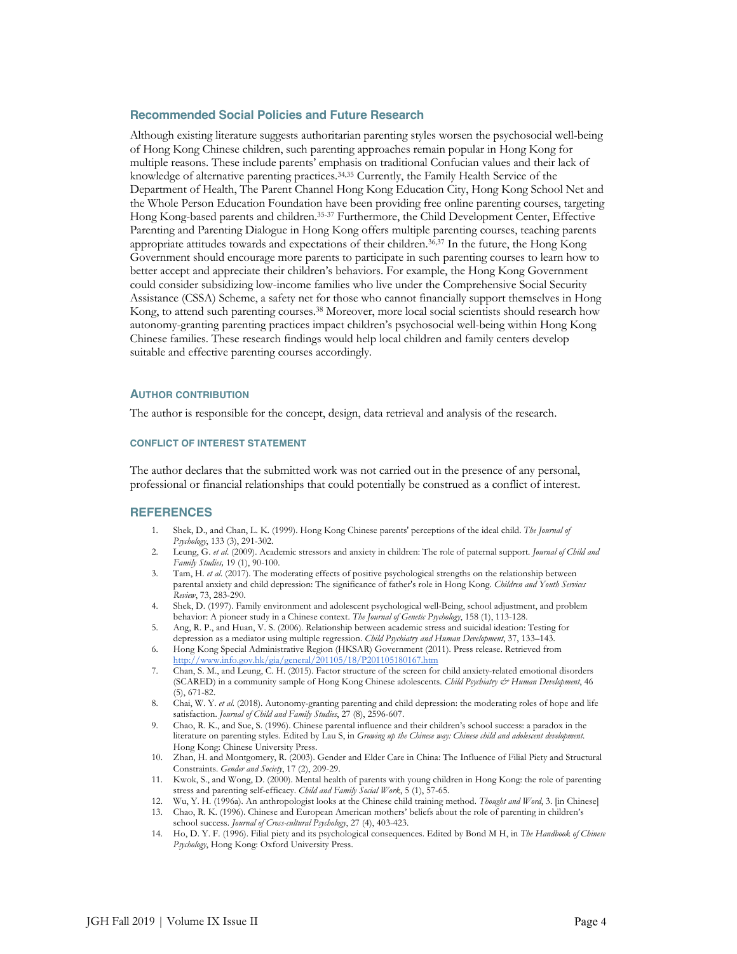### **Recommended Social Policies and Future Research**

Although existing literature suggests authoritarian parenting styles worsen the psychosocial well-being of Hong Kong Chinese children, such parenting approaches remain popular in Hong Kong for multiple reasons. These include parents' emphasis on traditional Confucian values and their lack of knowledge of alternative parenting practices.34,35 Currently, the Family Health Service of the Department of Health, The Parent Channel Hong Kong Education City, Hong Kong School Net and the Whole Person Education Foundation have been providing free online parenting courses, targeting Hong Kong-based parents and children.35-37 Furthermore, the Child Development Center, Effective Parenting and Parenting Dialogue in Hong Kong offers multiple parenting courses, teaching parents appropriate attitudes towards and expectations of their children.36,37 In the future, the Hong Kong Government should encourage more parents to participate in such parenting courses to learn how to better accept and appreciate their children's behaviors. For example, the Hong Kong Government could consider subsidizing low-income families who live under the Comprehensive Social Security Assistance (CSSA) Scheme, a safety net for those who cannot financially support themselves in Hong Kong, to attend such parenting courses.<sup>38</sup> Moreover, more local social scientists should research how autonomy-granting parenting practices impact children's psychosocial well-being within Hong Kong Chinese families. These research findings would help local children and family centers develop suitable and effective parenting courses accordingly.

#### **AUTHOR CONTRIBUTION**

The author is responsible for the concept, design, data retrieval and analysis of the research.

#### **CONFLICT OF INTEREST STATEMENT**

The author declares that the submitted work was not carried out in the presence of any personal, professional or financial relationships that could potentially be construed as a conflict of interest.

#### **REFERENCES**

- 1. Shek, D., and Chan, L. K. (1999). Hong Kong Chinese parents' perceptions of the ideal child. *The Journal of Psychology*, 133 (3), 291-302.
- 2. Leung, G. *et al*. (2009). Academic stressors and anxiety in children: The role of paternal support. *Journal of Child and Family Studies,* 19 (1), 90-100.
- 3. Tam, H. *et al*. (2017). The moderating effects of positive psychological strengths on the relationship between parental anxiety and child depression: The significance of father's role in Hong Kong. *Children and Youth Services Review*, 73, 283-290.
- 4. Shek, D. (1997). Family environment and adolescent psychological well-Being, school adjustment, and problem behavior: A pioneer study in a Chinese context. *The Journal of Genetic Psychology*, 158 (1), 113-128.
- 5. Ang, R. P., and Huan, V. S. (2006). Relationship between academic stress and suicidal ideation: Testing for depression as a mediator using multiple regression. *Child Psychiatry and Human Development*, 37, 133–143.
- 6. Hong Kong Special Administrative Region (HKSAR) Government (2011). Press release. Retrieved from http://www.info.gov.hk/gia/general/201105/18/P201105180167.htm
- 7. Chan, S. M., and Leung, C. H. (2015). Factor structure of the screen for child anxiety-related emotional disorders (SCARED) in a community sample of Hong Kong Chinese adolescents. *Child Psychiatry & Human Development*, 46 (5), 671-82.
- 8. Chai, W. Y. *et al*. (2018). Autonomy-granting parenting and child depression: the moderating roles of hope and life satisfaction. *Journal of Child and Family Studies*, 27 (8), 2596-607.
- 9. Chao, R. K., and Sue, S. (1996). Chinese parental influence and their children's school success: a paradox in the literature on parenting styles. Edited by Lau S, in *Growing up the Chinese way: Chinese child and adolescent development*. Hong Kong: Chinese University Press.
- 10. Zhan, H. and Montgomery, R. (2003). Gender and Elder Care in China: The Influence of Filial Piety and Structural Constraints. *Gender and Society*, 17 (2), 209-29.
- 11. Kwok, S., and Wong, D. (2000). Mental health of parents with young children in Hong Kong: the role of parenting stress and parenting self-efficacy. *Child and Family Social Work*, 5 (1), 57-65.
- 12. Wu, Y. H. (1996a). An anthropologist looks at the Chinese child training method. *Thought and Word*, 3. [in Chinese]
- 13. Chao, R. K. (1996). Chinese and European American mothers' beliefs about the role of parenting in children's school success. *Journal of Cross-cultural Psychology*, 27 (4), 403-423.
- 14. Ho, D. Y. F. (1996). Filial piety and its psychological consequences. Edited by Bond M H, in *The Handbook of Chinese Psychology*, Hong Kong: Oxford University Press.